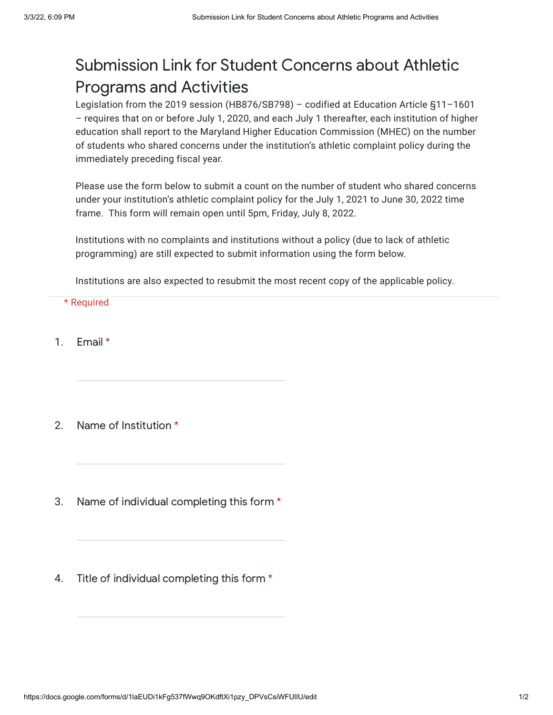## Submission Link for Student Concerns about Athletic Programs and Activities

Legislation from the 2019 session (HB876/SB798) – codified at Education Article §11–1601 – requires that on or before July 1, 2020, and each July 1 thereafter, each institution of higher education shall report to the Maryland Higher Education Commission (MHEC) on the number of students who shared concerns under the institution's athletic complaint policy during the immediately preceding fiscal year.

Please use the form below to submit a count on the number of student who shared concerns under your institution's athletic complaint policy for the July 1, 2021 to June 30, 2022 time frame. This form will remain open until 5pm, Friday, July 8, 2022.

Institutions with no complaints and institutions without a policy (due to lack of athletic programming) are still expected to submit information using the form below.

Institutions are also expected to resubmit the most recent copy of the applicable policy.

## \* Required

- 1. Email \*
- 2. Name of Institution \*
- 3. Name of individual completing this form \*
- 4. Title of individual completing this form \*